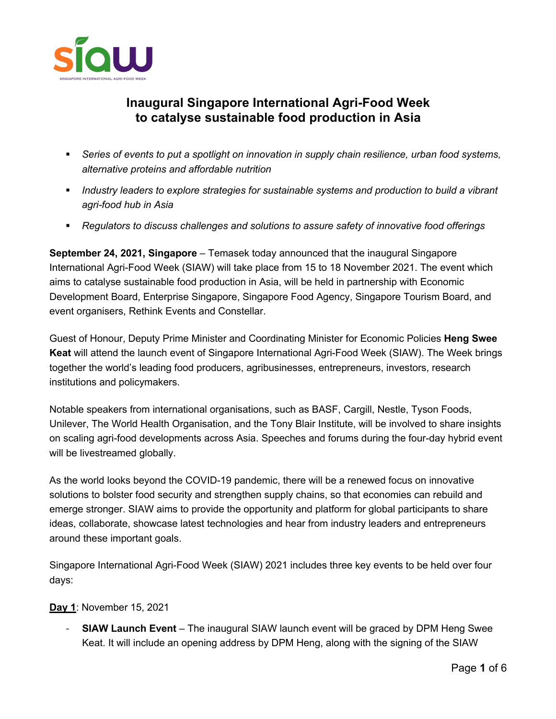

# **Inaugural Singapore International Agri-Food Week to catalyse sustainable food production in Asia**

- § *Series of events to put a spotlight on innovation in supply chain resilience, urban food systems, alternative proteins and affordable nutrition*
- § *Industry leaders to explore strategies for sustainable systems and production to build a vibrant agri-food hub in Asia*
- § *Regulators to discuss challenges and solutions to assure safety of innovative food offerings*

**September 24, 2021, Singapore** – Temasek today announced that the inaugural Singapore International Agri-Food Week (SIAW) will take place from 15 to 18 November 2021. The event which aims to catalyse sustainable food production in Asia, will be held in partnership with Economic Development Board, Enterprise Singapore, Singapore Food Agency, Singapore Tourism Board, and event organisers, Rethink Events and Constellar.

Guest of Honour, Deputy Prime Minister and Coordinating Minister for Economic Policies **Heng Swee Keat** will attend the launch event of Singapore International Agri-Food Week (SIAW). The Week brings together the world's leading food producers, agribusinesses, entrepreneurs, investors, research institutions and policymakers.

Notable speakers from international organisations, such as BASF, Cargill, Nestle, Tyson Foods, Unilever, The World Health Organisation, and the Tony Blair Institute, will be involved to share insights on scaling agri-food developments across Asia. Speeches and forums during the four-day hybrid event will be livestreamed globally.

As the world looks beyond the COVID-19 pandemic, there will be a renewed focus on innovative solutions to bolster food security and strengthen supply chains, so that economies can rebuild and emerge stronger. SIAW aims to provide the opportunity and platform for global participants to share ideas, collaborate, showcase latest technologies and hear from industry leaders and entrepreneurs around these important goals.

Singapore International Agri-Food Week (SIAW) 2021 includes three key events to be held over four days:

# **Day 1**: November 15, 2021

**SIAW Launch Event** – The inaugural SIAW launch event will be graced by DPM Heng Swee Keat. It will include an opening address by DPM Heng, along with the signing of the SIAW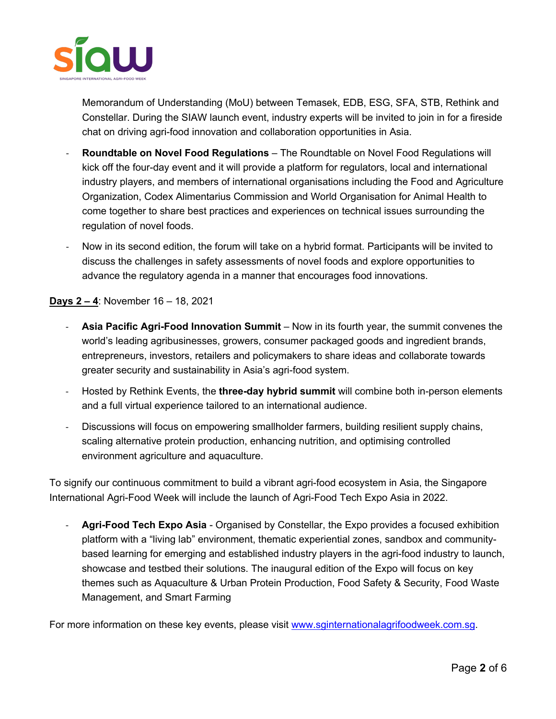

Memorandum of Understanding (MoU) between Temasek, EDB, ESG, SFA, STB, Rethink and Constellar. During the SIAW launch event, industry experts will be invited to join in for a fireside chat on driving agri-food innovation and collaboration opportunities in Asia.

- **Roundtable on Novel Food Regulations** The Roundtable on Novel Food Regulations will kick off the four-day event and it will provide a platform for regulators, local and international industry players, and members of international organisations including the Food and Agriculture Organization, Codex Alimentarius Commission and World Organisation for Animal Health to come together to share best practices and experiences on technical issues surrounding the regulation of novel foods.
- Now in its second edition, the forum will take on a hybrid format. Participants will be invited to discuss the challenges in safety assessments of novel foods and explore opportunities to advance the regulatory agenda in a manner that encourages food innovations.

**Days 2 – 4**: November 16 – 18, 2021

- **Asia Pacific Agri-Food Innovation Summit** Now in its fourth year, the summit convenes the world's leading agribusinesses, growers, consumer packaged goods and ingredient brands, entrepreneurs, investors, retailers and policymakers to share ideas and collaborate towards greater security and sustainability in Asia's agri-food system.
- Hosted by Rethink Events, the **three-day hybrid summit** will combine both in-person elements and a full virtual experience tailored to an international audience.
- Discussions will focus on empowering smallholder farmers, building resilient supply chains, scaling alternative protein production, enhancing nutrition, and optimising controlled environment agriculture and aquaculture.

To signify our continuous commitment to build a vibrant agri-food ecosystem in Asia, the Singapore International Agri-Food Week will include the launch of Agri-Food Tech Expo Asia in 2022.

Agri-Food Tech Expo Asia - Organised by Constellar, the Expo provides a focused exhibition platform with a "living lab" environment, thematic experiential zones, sandbox and communitybased learning for emerging and established industry players in the agri-food industry to launch, showcase and testbed their solutions. The inaugural edition of the Expo will focus on key themes such as Aquaculture & Urban Protein Production, Food Safety & Security, Food Waste Management, and Smart Farming

For more information on these key events, please visit www.sginternationalagrifoodweek.com.sg.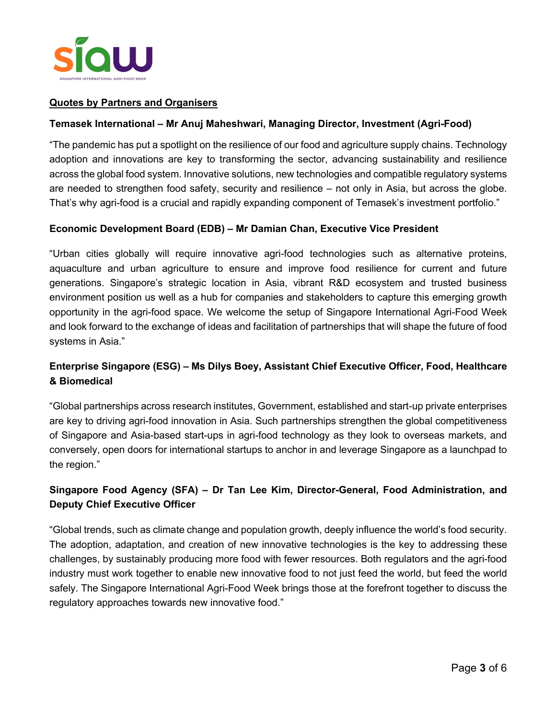

# **Quotes by Partners and Organisers**

### **Temasek International – Mr Anuj Maheshwari, Managing Director, Investment (Agri-Food)**

"The pandemic has put a spotlight on the resilience of our food and agriculture supply chains. Technology adoption and innovations are key to transforming the sector, advancing sustainability and resilience across the global food system. Innovative solutions, new technologies and compatible regulatory systems are needed to strengthen food safety, security and resilience – not only in Asia, but across the globe. That's why agri-food is a crucial and rapidly expanding component of Temasek's investment portfolio."

#### **Economic Development Board (EDB) – Mr Damian Chan, Executive Vice President**

"Urban cities globally will require innovative agri-food technologies such as alternative proteins, aquaculture and urban agriculture to ensure and improve food resilience for current and future generations. Singapore's strategic location in Asia, vibrant R&D ecosystem and trusted business environment position us well as a hub for companies and stakeholders to capture this emerging growth opportunity in the agri-food space. We welcome the setup of Singapore International Agri-Food Week and look forward to the exchange of ideas and facilitation of partnerships that will shape the future of food systems in Asia."

# **Enterprise Singapore (ESG) – Ms Dilys Boey, Assistant Chief Executive Officer, Food, Healthcare & Biomedical**

"Global partnerships across research institutes, Government, established and start-up private enterprises are key to driving agri-food innovation in Asia. Such partnerships strengthen the global competitiveness of Singapore and Asia-based start-ups in agri-food technology as they look to overseas markets, and conversely, open doors for international startups to anchor in and leverage Singapore as a launchpad to the region."

# **Singapore Food Agency (SFA) – Dr Tan Lee Kim, Director-General, Food Administration, and Deputy Chief Executive Officer**

"Global trends, such as climate change and population growth, deeply influence the world's food security. The adoption, adaptation, and creation of new innovative technologies is the key to addressing these challenges, by sustainably producing more food with fewer resources. Both regulators and the agri-food industry must work together to enable new innovative food to not just feed the world, but feed the world safely. The Singapore International Agri-Food Week brings those at the forefront together to discuss the regulatory approaches towards new innovative food."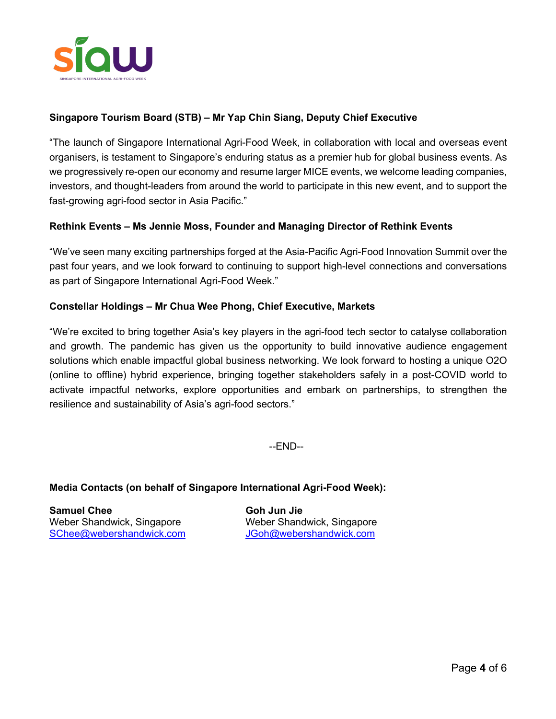

# **Singapore Tourism Board (STB) – Mr Yap Chin Siang, Deputy Chief Executive**

"The launch of Singapore International Agri-Food Week, in collaboration with local and overseas event organisers, is testament to Singapore's enduring status as a premier hub for global business events. As we progressively re-open our economy and resume larger MICE events, we welcome leading companies, investors, and thought-leaders from around the world to participate in this new event, and to support the fast-growing agri-food sector in Asia Pacific."

# **Rethink Events – Ms Jennie Moss, Founder and Managing Director of Rethink Events**

"We've seen many exciting partnerships forged at the Asia-Pacific Agri-Food Innovation Summit over the past four years, and we look forward to continuing to support high-level connections and conversations as part of Singapore International Agri-Food Week."

#### **Constellar Holdings – Mr Chua Wee Phong, Chief Executive, Markets**

"We're excited to bring together Asia's key players in the agri-food tech sector to catalyse collaboration and growth. The pandemic has given us the opportunity to build innovative audience engagement solutions which enable impactful global business networking. We look forward to hosting a unique O2O (online to offline) hybrid experience, bringing together stakeholders safely in a post-COVID world to activate impactful networks, explore opportunities and embark on partnerships, to strengthen the resilience and sustainability of Asia's agri-food sectors."

--END--

#### **Media Contacts (on behalf of Singapore International Agri-Food Week):**

**Samuel Chee Goh Jun Jie** Weber Shandwick, Singapore Weber Shandwick, Singapore SChee@webershandwick.com JGoh@webershandwick.com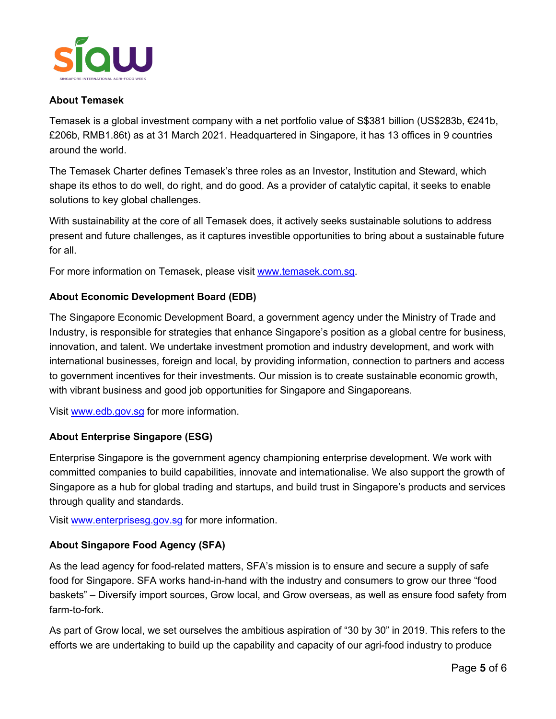

# **About Temasek**

Temasek is a global investment company with a net portfolio value of S\$381 billion (US\$283b, €241b, £206b, RMB1.86t) as at 31 March 2021. Headquartered in Singapore, it has 13 offices in 9 countries around the world.

The Temasek Charter defines Temasek's three roles as an Investor, Institution and Steward, which shape its ethos to do well, do right, and do good. As a provider of catalytic capital, it seeks to enable solutions to key global challenges.

With sustainability at the core of all Temasek does, it actively seeks sustainable solutions to address present and future challenges, as it captures investible opportunities to bring about a sustainable future for all.

For more information on Temasek, please visit www.temasek.com.sg.

# **About Economic Development Board (EDB)**

The Singapore Economic Development Board, a government agency under the Ministry of Trade and Industry, is responsible for strategies that enhance Singapore's position as a global centre for business, innovation, and talent. We undertake investment promotion and industry development, and work with international businesses, foreign and local, by providing information, connection to partners and access to government incentives for their investments. Our mission is to create sustainable economic growth, with vibrant business and good job opportunities for Singapore and Singaporeans.

Visit www.edb.gov.sg for more information.

# **About Enterprise Singapore (ESG)**

Enterprise Singapore is the government agency championing enterprise development. We work with committed companies to build capabilities, innovate and internationalise. We also support the growth of Singapore as a hub for global trading and startups, and build trust in Singapore's products and services through quality and standards.

Visit www.enterprisesg.gov.sg for more information.

# **About Singapore Food Agency (SFA)**

As the lead agency for food-related matters, SFA's mission is to ensure and secure a supply of safe food for Singapore. SFA works hand-in-hand with the industry and consumers to grow our three "food baskets" – Diversify import sources, Grow local, and Grow overseas, as well as ensure food safety from farm-to-fork.

As part of Grow local, we set ourselves the ambitious aspiration of "30 by 30" in 2019. This refers to the efforts we are undertaking to build up the capability and capacity of our agri-food industry to produce